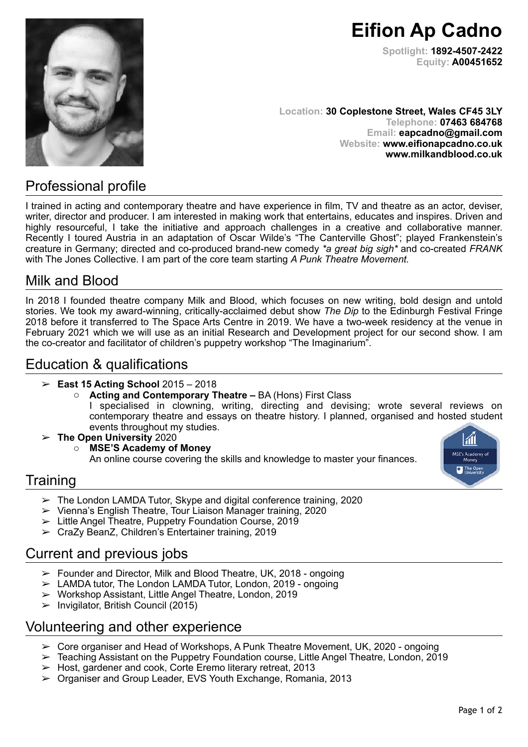**Eifion Ap Cadno Spotlight: 1892-4507-2422 Equity: A00451652**

**Location: 30 Coplestone Street, Wales CF45 3LY Telephone: 07463 684768 Email: [eapcadno@gmail.com](mailto:eapcadno@gmail.com) Website: [www.eifionapcadno.co.uk](http://www.eifionapcadno.co.uk) www.milkandblood.co.uk** 

# Professional profile

I trained in acting and contemporary theatre and have experience in film, TV and theatre as an actor, deviser, writer, director and producer. I am interested in making work that entertains, educates and inspires. Driven and highly resourceful, I take the initiative and approach challenges in a creative and collaborative manner. Recently I toured Austria in an adaptation of Oscar Wilde's "The Canterville Ghost"; played Frankenstein's creature in Germany; directed and co-produced brand-new comedy *\*a great big sigh\** and co-created *FRANK*  with The Jones Collective. I am part of the core team starting *A Punk Theatre Movement.*

## Milk and Blood

In 2018 I founded theatre company Milk and Blood, which focuses on new writing, bold design and untold stories. We took my award-winning, critically-acclaimed debut show *The Dip* to the Edinburgh Festival Fringe 2018 before it transferred to The Space Arts Centre in 2019. We have a two-week residency at the venue in February 2021 which we will use as an initial Research and Development project for our second show. I am the co-creator and facilitator of children's puppetry workshop "The Imaginarium".

# Education & qualifications

- ➢ **East 15 Acting School** 2015 2018
	- o **Acting and Contemporary Theatre –** BA (Hons) First Class

I specialised in clowning, writing, directing and devising; wrote several reviews on contemporary theatre and essays on theatre history. I planned, organised and hosted student events throughout my studies.

- ➢ **The Open University** 2020
	- o **MSE'S Academy of Money**  An online course covering the skills and knowledge to master your finances.



- $\geq$  The London LAMDA Tutor, Skype and digital conference training, 2020
- ➢ Vienna's English Theatre, Tour Liaison Manager training, 2020
- ➢ Little Angel Theatre, Puppetry Foundation Course, 2019
- ➢ CraZy BeanZ, Children's Entertainer training, 2019

# Current and previous jobs

- $\geq$  Founder and Director, Milk and Blood Theatre, UK, 2018 ongoing
- $\geq$  LAMDA tutor, The London LAMDA Tutor, London, 2019 ongoing
- ➢ Workshop Assistant, Little Angel Theatre, London, 2019
- $>$  Invigilator, British Council (2015)

# Volunteering and other experience

- $\geq$  Core organiser and Head of Workshops, A Punk Theatre Movement, UK, 2020 ongoing
- ➢ Teaching Assistant on the Puppetry Foundation course, Little Angel Theatre, London, 2019
- ➢ Host, gardener and cook, Corte Eremo literary retreat, 2013
- ➢ Organiser and Group Leader, EVS Youth Exchange, Romania, 2013